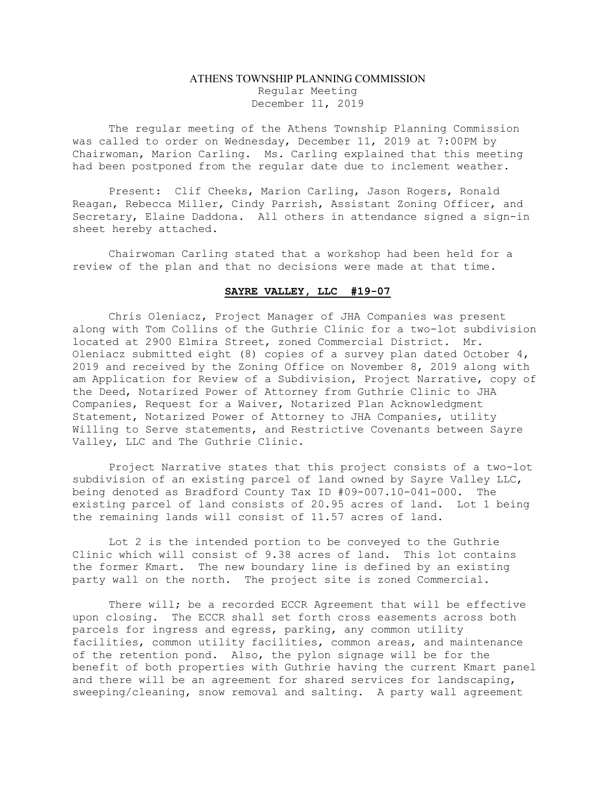## ATHENS TOWNSHIP PLANNING COMMISSION Regular Meeting December 11, 2019

The regular meeting of the Athens Township Planning Commission was called to order on Wednesday, December 11, 2019 at 7:00PM by Chairwoman, Marion Carling. Ms. Carling explained that this meeting had been postponed from the regular date due to inclement weather.

Present: Clif Cheeks, Marion Carling, Jason Rogers, Ronald Reagan, Rebecca Miller, Cindy Parrish, Assistant Zoning Officer, and Secretary, Elaine Daddona. All others in attendance signed a sign-in sheet hereby attached.

Chairwoman Carling stated that a workshop had been held for a review of the plan and that no decisions were made at that time.

## SAYRE VALLEY, LLC #19-07

Chris Oleniacz, Project Manager of JHA Companies was present along with Tom Collins of the Guthrie Clinic for a two-lot subdivision located at 2900 Elmira Street, zoned Commercial District. Mr. Oleniacz submitted eight (8) copies of a survey plan dated October 4, 2019 and received by the Zoning Office on November 8, 2019 along with am Application for Review of a Subdivision, Project Narrative, copy of the Deed, Notarized Power of Attorney from Guthrie Clinic to JHA Companies, Request for a Waiver, Notarized Plan Acknowledgment Statement, Notarized Power of Attorney to JHA Companies, utility Willing to Serve statements, and Restrictive Covenants between Sayre Valley, LLC and The Guthrie Clinic.

Project Narrative states that this project consists of a two-lot subdivision of an existing parcel of land owned by Sayre Valley LLC, being denoted as Bradford County Tax ID #09-007.10-041-000. The existing parcel of land consists of 20.95 acres of land. Lot 1 being the remaining lands will consist of 11.57 acres of land.

Lot 2 is the intended portion to be conveyed to the Guthrie Clinic which will consist of 9.38 acres of land. This lot contains the former Kmart. The new boundary line is defined by an existing party wall on the north. The project site is zoned Commercial.

There will; be a recorded ECCR Agreement that will be effective upon closing. The ECCR shall set forth cross easements across both parcels for ingress and egress, parking, any common utility facilities, common utility facilities, common areas, and maintenance of the retention pond. Also, the pylon signage will be for the benefit of both properties with Guthrie having the current Kmart panel and there will be an agreement for shared services for landscaping, sweeping/cleaning, snow removal and salting. A party wall agreement